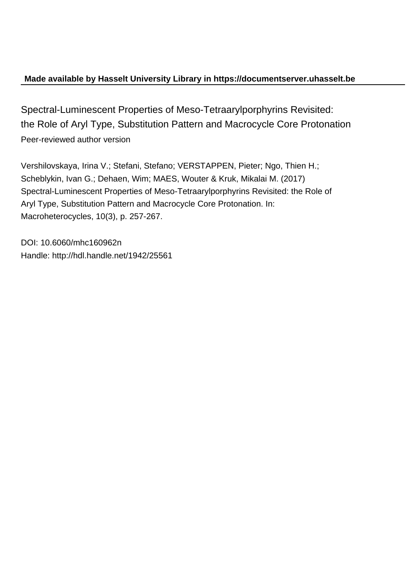## **Made available by Hasselt University Library in https://documentserver.uhasselt.be**

Spectral-Luminescent Properties of Meso-Tetraarylporphyrins Revisited: the Role of Aryl Type, Substitution Pattern and Macrocycle Core Protonation Peer-reviewed author version

Vershilovskaya, Irina V.; Stefani, Stefano; VERSTAPPEN, Pieter; Ngo, Thien H.; Scheblykin, Ivan G.; Dehaen, Wim; MAES, Wouter & Kruk, Mikalai M. (2017) Spectral-Luminescent Properties of Meso-Tetraarylporphyrins Revisited: the Role of Aryl Type, Substitution Pattern and Macrocycle Core Protonation. In: Macroheterocycles, 10(3), p. 257-267.

DOI: 10.6060/mhc160962n Handle: http://hdl.handle.net/1942/25561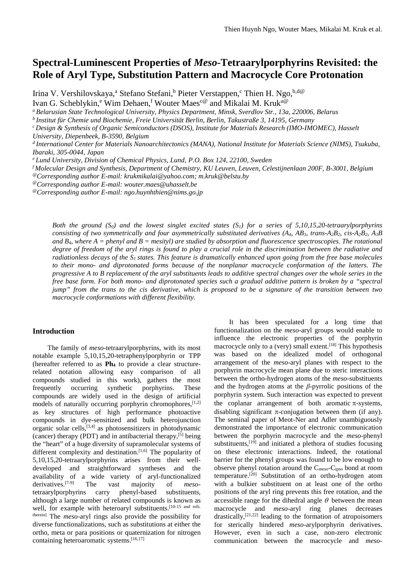# **Spectral-Luminescent Properties of** *Meso***-Tetraarylporphyrins Revisited: the Role of Aryl Type, Substitution Pattern and Macrocycle Core Protonation**

Irina V. Vershilovskaya,<sup>a</sup> Stefano Stefani,<sup>b</sup> Pieter Verstappen,<sup>c</sup> Thien H. Ngo,<sup>b,d@</sup>

Ivan G. Scheblykin,<sup>e</sup> Wim Dehaen,<sup>f</sup> Wouter Maes<sup>c@</sup> and Mikalai M. Kruk<sup>a@</sup>

<sup>a</sup> Belarusian State Technological University, Physics Department, Minsk, Sverdlov Str., 13a, 220006, Belarus b<br><sup>b</sup> Institut für Chemie und Biochemie, Freie Universität Berlin, Berlin, Takustraße 3, 14195, Germany

*<sup>c</sup> Design & Synthesis of Organic Semiconductors (DSOS), Institute for Materials Research (IMO-IMOMEC), Hasselt University, Diepenbeek, B-3590, Belgium* 

*<sup>d</sup> International Center for Materials Nanoarchitectonics (MANA), National Institute for Materials Science (NIMS), Tsukuba, Ibaraki, 305-0044, Japan e Lund University, Division of Chemical Physics, Lund, P.O. Box 124, 22100, Sweden*

*<sup>f</sup> Molecular Design and Synthesis, Department of Chemistry, KU Leuven, Leuven, Celestijnenlaan 200F, B-3001, Belgium*

@*Corresponding author E-mail: krukmikalai@yahoo.com; m.kruk@belstu.by*

@*Corresponding author E-mail: wouter.maes@uhasselt.be*

@*Corresponding author E-mail: ngo.huynhthien@nims.go.jp*

*Both the ground (S0) and the lowest singlet excited states (S1) for a series of 5,10,15,20-tetraarylporphyrins consisting of two symmetrically and four asymmetrically substituted derivatives (A4, AB3, trans-A2B2, cis-A2B2, A3B and B4, where A = phenyl and B = mesityl) are studied by absorption and fluorescence spectroscopies. The rotational degree of freedom of the aryl rings is found to play a crucial role in the discrimination between the radiative and radiationless decays of the S1 states. This feature is dramatically enhanced upon going from the free base molecules to their mono- and diprotonated forms because of the nonplanar macrocycle conformation of the latters. The progressive A to B replacement of the aryl substituents leads to additive spectral changes over the whole series in the free base form. For both mono- and diprotonated species such a gradual additive pattern is broken by a "spectral jump" from the trans to the cis derivative, which is proposed to be a signature of the transition between two macrocycle conformations with different flexibility.* 

#### **Introduction**

The family of *meso*-tetraarylporphyrins, with its most notable example 5,10,15,20-tetraphenylporphyrin or TPP (hereafter referred to as **Ph4** to provide a clear structurerelated notation allowing easy comparison of all compounds studied in this work), gathers the most frequently occurring synthetic porphyrins. These compounds are widely used in the design of artificial models of naturally occurring porphyrin chromophores, $[1,2]$ as key structures of high performance photoactive compounds in dye-sensitized and bulk heterojunction organic solar cells, [3,4] as photosensitizers in photodynamic (cancer) therapy (PDT) and in antibacterial therapy, $[5]$  being the "heart" of a huge diversity of supramolecular systems of different complexity and destination.<sup>[1,6]</sup> The popularity of 5,10,15,20-tetraarylporphyrins arises from their welldeveloped and straightforward syntheses and the availability of a wide variety of aryl-functionalized derivatives.[7-9] The vast majority of *meso*tetraarylporphyrins carry phenyl-based substituents, although a large number of related compounds is known as well, for example with heteroaryl substituents.<sup>[10-15 and refs.</sup> therein] The *meso*-aryl rings also provide the possibility for diverse functionalizations, such as substitutions at either the ortho, meta or para positions or quaternization for nitrogen containing heteroaromatic systems.<sup>[16,17]</sup>

It has been speculated for a long time that functionalization on the *meso*-aryl groups would enable to influence the electronic properties of the porphyrin macrocycle only to a (very) small extent.<sup>[18]</sup> This hypothesis was based on the idealized model of orthogonal arrangement of the *meso*-aryl planes with respect to the porphyrin macrocycle mean plane due to steric interactions between the ortho-hydrogen atoms of the *meso*-substituents and the hydrogen atoms at the *β*-pyrrolic positions of the porphyrin system. Such interaction was expected to prevent the coplanar arrangement of both aromatic  $\pi$ -systems, disabling significant  $\pi$ -conjugation between them (if any). The seminal paper of Meot-Ner and Adler unambiguously demonstrated the importance of electronic communication between the porphyrin macrocycle and the *meso*-phenyl substituents,<sup>[19]</sup> and initiated a plethora of studies focusing on these electronic interactions. Indeed, the rotational barrier for the phenyl groups was found to be low enough to observe phenyl rotation around the Cmeso-Cipso bond at room temperature.[20] Substitution of an ortho-hydrogen atom with a bulkier substituent on at least one of the ortho positions of the aryl ring prevents this free rotation, and the accessible range for the dihedral angle  $\theta$  between the mean macrocycle and *meso*-aryl ring planes decreases drastically, $[21,22]$  leading to the formation of atropoisomers for sterically hindered *meso*-arylporphyrin derivatives. However, even in such a case, non-zero electronic communication between the macrocycle and *meso*-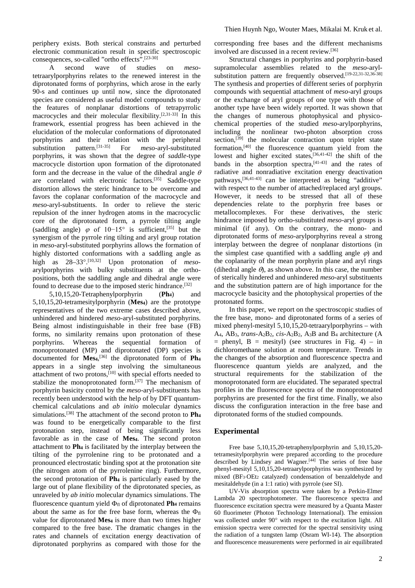periphery exists. Both sterical constrains and perturbed electronic communication result in specific spectroscopic consequences, so-called "ortho effects".[23-30]

A second wave of studies on *meso*tetraarylporphyrins relates to the renewed interest in the diprotonated forms of porphyrins, which arose in the early 90-s and continues up until now, since the diprotonated species are considered as useful model compounds to study the features of nonplanar distortions of tetrapyrrolic macrocycles and their molecular flexibility.<sup>[2,31-33]</sup> In this framework, essential progress has been achieved in the elucidation of the molecular conformations of diprotonated porphyrins and their relation with the peripheral substitution pattern.[31-35] For *meso-*aryl-substituted porphyrins, it was shown that the degree of *saddle*-type macrocycle distortion upon formation of the diprotonated form and the decrease in the value of the dihedral angle  $\theta$ are correlated with electronic factors.[35] Saddle-type distortion allows the steric hindrance to be overcome and favors the coplanar conformation of the macrocycle and *meso*-aryl-substituents. In order to relieve the steric repulsion of the inner hydrogen atoms in the macrocyclic core of the diprotonated form, a pyrrole tilting angle (saddling angle)  $\varphi$  of 10−15° is sufficient,<sup>[35]</sup> but the synergism of the pyrrole ring tilting and aryl group rotation in *meso*-aryl-substituted porphyrins allows the formation of highly distorted conformations with a saddling angle as high as 28–33°. [10,32] Upon protonation of *meso*arylporphyrins with bulky substituents at the orthopositions, both the saddling angle and dihedral angle were found to decrease due to the imposed steric hindrance.<sup>[32]</sup><br>5,10,15,20-Tetraphenylporphyrin (Ph<sub>4</sub>) and

 $5,10,15,20$ -Tetraphenylporphyrin (Ph<sub>4</sub>) 5,10,15,20-tetramesitylporphyrin (**Mes4**) are the prototype representatives of the two extreme cases described above, unhindered and hindered *meso-*aryl-substituted porphyrins. Being almost indistinguishable in their free base (FB) forms, no similarity remains upon protonation of these porphyrins. Whereas the sequential formation of monoprotonated (MP) and diprotonated (DP) species is documented for **Mes4**, [36] the diprotonated form of **Ph4** appears in a single step involving the simultaneous attachment of two protons, $[10]$  with special efforts needed to stabilize the monoprotonated form.<sup>[37]</sup> The mechanism of porphyrin basicity control by the *meso*-aryl-substituents has recently been understood with the help of by DFT quantumchemical calculations and *ab initio* molecular dynamics simulations.[38] The attachment of the second proton to **Ph4** was found to be energetically comparable to the first protonation step, instead of being significantly less favorable as in the case of **Mes4**. The second proton attachment to **Ph4** is facilitated by the interplay between the tilting of the pyrrolenine ring to be protonated and a pronounced electrostatic binding spot at the protonation site (the nitrogen atom of the pyrrolenine ring). Furthermore, the second protonation of **Ph4** is particularly eased by the large out of plane flexibility of the diprotonated species, as unraveled by *ab initio* molecular dynamics simulations. The fluorescence quantum yield  $\Phi_{fl}$  of diprotonated **Ph<sub>4</sub>** remains about the same as for the free base form, whereas the  $\Phi_{\text{fl}}$ value for diprotonated **Mes4** is more than two times higher compared to the free base. The dramatic changes in the rates and channels of excitation energy deactivation of diprotonated porphyrins as compared with those for the corresponding free bases and the different mechanisms involved are discussed in a recent review.[36]

Structural changes in porphyrins and porphyrin-based supramolecular assemblies related to the *meso-*arylsubstitution pattern are frequently observed.[19-22,31-32,36-38] The synthesis and properties of different series of porphyrin compounds with sequential attachment of *meso*-aryl groups or the exchange of aryl groups of one type with those of another type have been widely reported. It was shown that the changes of numerous photophysical and physicochemical properties of the studied *meso*-arylporphyrins, including the nonlinear two-photon absorption cross section,<sup>[39]</sup> the molecular contraction upon triplet state formation, $[40]$  the fluorescence quantum yield from the lowest and higher excited states,  $[36,41-42]$  the shift of the bands in the absorption spectra, $[41-43]$  and the rates of radiative and nonradiative excitation energy deactivation pathways, [36,41-43] can be interpreted as being "additive" with respect to the number of attached/replaced aryl groups. However, it needs to be stressed that all of these dependencies relate to the porphyrin free bases or metallocomplexes. For these derivatives, the steric hindrance imposed by ortho-substituted *meso*-aryl groups is minimal (if any). On the contrary, the mono- and diprotonated forms of *meso*-arylporphyrins reveal a strong interplay between the degree of nonplanar distortions (in the simplest case quantified with a saddling angle  $\varphi$ ) and the coplanarity of the mean porphyrin plane and aryl rings (dihedral angle  $\theta$ ), as shown above. In this case, the number of sterically hindered and unhindered *meso*-aryl substituents and the substitution pattern are of high importance for the macrocycle basicity and the photophysical properties of the protonated forms.

In this paper, we report on the spectroscopic studies of the free base, mono- and diprotonated forms of a series of mixed phenyl-mesityl 5,10,15,20-tetraarylporphyrins – with A4, AB3, *trans*-A2B2, *cis*-A2B2, A3B and B4 architecture (A  $=$  phenyl,  $B =$  mesityl) (see structures in Fig. 4) – in dichloromethane solution at room temperature. Trends in the changes of the absorption and fluorescence spectra and fluorescence quantum yields are analyzed, and the structural requirements for the stabilization of the monoprotonated form are elucidated. The separated spectral profiles in the fluorescence spectra of the monoprotonated porphyrins are presented for the first time. Finally, we also discuss the configuration interaction in the free base and diprotonated forms of the studied compounds.

### **Experimental**

Free base 5,10,15,20-tetraphenylporphyrin and 5,10,15,20 tetramesitylporphyrin were prepared according to the procedure described by Lindsey and Wagner.<sup>[44]</sup> The series of free base phenyl-mesityl 5,10,15,20-tetraarylporphyrins was synthesized by mixed (BF3⋅OEt2 catalyzed) condensation of benzaldehyde and mesitaldehyde (in a 1:1 ratio) with pyrrole (see SI).

UV-Vis absorption spectra were taken by a Perkin-Elmer Lambda 20 spectrophotometer. The fluorescence spectra and fluorescence excitation spectra were measured by a Quanta Master 60 fluorimeter (Photon Technology International). The emission was collected under 90° with respect to the excitation light. All emission spectra were corrected for the spectral sensitivity using the radiation of a tungsten lamp (Osram WI-14). The absorption and fluorescence measurements were performed in air equilibrated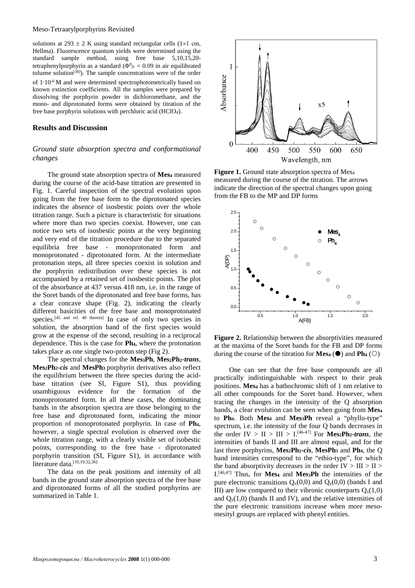#### Meso-Tetraarylporphyrins Revisited

solutions at  $293 \pm 2$  K using standard rectangular cells (1×1 cm, Hellma). Fluorescence quantum yields were determined using the standard sample method, using free base 5,10,15,20 tetraphenylporphyrin as a standard ( $\Phi^0$ <sub>fl</sub> = 0.09 in air equilibrated toluene solution<sup>[30]</sup>). The sample concentrations were of the order of  $1.10^{-6}$  M and were determined spectrophotometrically based on known extinction coefficients. All the samples were prepared by dissolving the porphyrin powder in dichloromethane, and the mono- and diprotonated forms were obtained by titration of the free base porphyrin solutions with perchloric acid (HClO4).

#### **Results and Discussion**

## *Ground state absorption spectra and conformational changes*

The ground state absorption spectra of **Mes4** measured during the course of the acid-base titration are presented in Fig. 1. Careful inspection of the spectral evolution upon going from the free base form to the diprotonated species indicates the absence of isosbestic points over the whole titration range. Such a picture is characteristic for situations where more than two species coexist. However, one can notice two sets of isosbestic points at the very beginning and very end of the titration procedure due to the separated equilibria free base - monoprotonated form and monoprotonated - diprotonated form. At the intermediate protonation steps, all three species coexist in solution and the porphyrin redistribution over these species is not accompanied by a retained set of isosbestic points. The plot of the absorbance at 437 versus 418 nm, i.e. in the range of the Soret bands of the diprotonated and free base forms, has a clear concave shape (Fig. 2), indicating the clearly different basicities of the free base and monoprotonated species.<sup>[45 and ref. 40 therein]</sup> In case of only two species in solution, the absorption band of the first species would grow at the expense of the second, resulting in a reciprocal dependence. This is the case for **Ph4**, where the protonation takes place as one single two-proton step (Fig 2).

The spectral changes for the **Mes3Ph**, **Mes2Ph2-***trans*, **Mes2Ph2-***cis* and **MesPh3** porphyrin derivatives also reflect the equilibrium between the three species during the acidbase titration (see SI, Figure S1), thus providing unambiguous evidence for the formation of the monoprotonated form. In all these cases, the dominating bands in the absorption spectra are those belonging to the free base and diprotonated form, indicating the minor proportion of monoprotonated porphyrin. In case of **Ph4**, however, a single spectral evolution is observed over the whole titration range, with a clearly visible set of isobestic points, corresponding to the free base - diprotonated porphyrin transition (SI, Figure S1), in accordance with literature data.<sup>[10,19,32,36]</sup>

The data on the peak positions and intensity of all bands in the ground state absorption spectra of the free base and diprotonated forms of all the studied porphyrins are summarized in Table 1.



Figure 1. Ground state absorption spectra of Mes<sub>4</sub> measured during the course of the titration. The arrows indicate the direction of the spectral changes upon going from the FB to the MP and DP forms



**Figure 2.** Relationship between the absorptivities measured at the maxima of the Soret bands for the FB and DP forms during the course of the titration for **Mes<sub>4</sub>** ( $\bullet$ ) and **Ph<sub>4</sub>** ( $\circ$ )

One can see that the free base compounds are all practically indistinguishable with respect to their peak positions. **Mes4** has a bathochromic shift of 1 nm relative to all other compounds for the Soret band. However, when tracing the changes in the intensity of the Q absorption bands, a clear evolution can be seen when going from **Mes4** to **Ph4**. Both **Mes4** and **Mes3Ph** reveal a "phyllo-type" spectrum, i.e. the intensity of the four Q bands decreases in the order  $IV > II > III > I$ .<sup>[46-47]</sup> For **Mes<sub>2</sub>Ph<sub>2</sub>-trans**, the intensities of bands II and III are almost equal, and for the last three porphyrins, **Mes2Ph2-***cis*, **MesPh3** and **Ph4**, the Q band intensities correspond to the "ethio-type", for which the band absorptivity decreases in the order  $IV > III > II >$ I.[46,47] Thus, for **Mes4** and **Mes3Ph** the intensities of the pure electronic transitions  $Q_x(0,0)$  and  $Q_y(0,0)$  (bands I and III) are low compared to their vibronic counterparts  $Q_x(1,0)$ and  $Q_v(1,0)$  (bands II and IV), and the relative intensities of the pure electronic transitions increase when more *meso*mesityl groups are replaced with phenyl entities.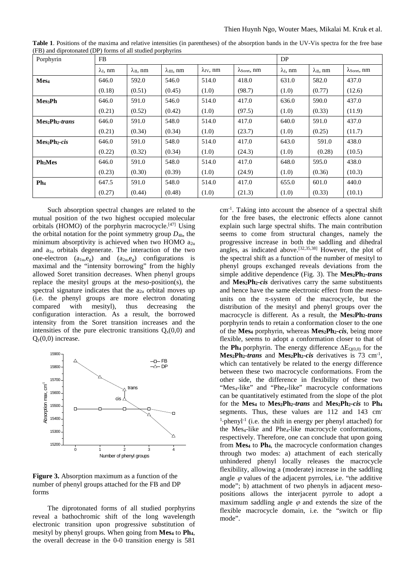| Porphyrin           | <b>FB</b>              |                     |                      |                         |                                     | DP                     |                     |                                     |  |
|---------------------|------------------------|---------------------|----------------------|-------------------------|-------------------------------------|------------------------|---------------------|-------------------------------------|--|
|                     | $\lambda_{\rm I}$ , nm | $\lambda_{II}$ , nm | $\lambda_{III}$ , nm | $\lambda_{\rm IV}$ , nm | $\lambda_{\text{Soret}}, \text{nm}$ | $\lambda_{\rm L}$ , nm | $\lambda_{II}$ , nm | $\lambda_{\text{Soret}}, \text{nm}$ |  |
| Mes <sub>4</sub>    | 646.0                  | 592.0               | 546.0                | 514.0                   | 418.0                               | 631.0                  | 582.0               | 437.0                               |  |
|                     | (0.18)                 | (0.51)              | (0.45)               | (1.0)                   | (98.7)                              | (1.0)                  | (0.77)              | (12.6)                              |  |
| Mes <sub>3</sub> Ph | 646.0                  | 591.0               | 546.0                | 514.0                   | 417.0                               | 636.0                  | 590.0               | 437.0                               |  |
|                     | (0.21)                 | (0.52)              | (0.42)               | (1.0)                   | (97.5)                              | (1.0)                  | (0.33)              | (11.9)                              |  |
| $Mes2 Ph2-trans$    | 646.0                  | 591.0               | 548.0                | 514.0                   | 417.0                               | 640.0                  | 591.0               | 437.0                               |  |
|                     | (0.21)                 | (0.34)              | (0.34)               | (1.0)                   | (23.7)                              | (1.0)                  | (0.25)              | (11.7)                              |  |
| $Mes_2Ph_2-cis$     | 646.0                  | 591.0               | 548.0                | 514.0                   | 417.0                               | 643.0                  | 591.0               | 438.0                               |  |
|                     | (0.22)                 | (0.32)              | (0.34)               | (1.0)                   | (24.3)                              | (1.0)                  | (0.28)              | (10.5)                              |  |
| Ph <sub>3</sub> Mes | 646.0                  | 591.0               | 548.0                | 514.0                   | 417.0                               | 648.0                  | 595.0               | 438.0                               |  |
|                     | (0.23)                 | (0.30)              | (0.39)               | (1.0)                   | (24.9)                              | (1.0)                  | (0.36)              | (10.3)                              |  |
| Ph <sub>4</sub>     | 647.5                  | 591.0               | 548.0                | 514.0                   | 417.0                               | 655.0                  | 601.0               | 440.0                               |  |
|                     | (0.27)                 | (0.44)              | (0.48)               | (1.0)                   | (21.3)                              | (1.0)                  | (0.33)              | (10.1)                              |  |

**Table 1**. Positions of the maxima and relative intensities (in parentheses) of the absorption bands in the UV-Vis spectra for the free base (FB) and diprotonated (DP) forms of all studied porphyrins

Such absorption spectral changes are related to the mutual position of the two highest occupied molecular orbitals (HOMO) of the porphyrin macrocycle.[47] Using the orbital notation for the point symmetry group  $D_{4h}$ , the minimum absorptivity is achieved when two HOMO  $a_{2u}$ and  $a_{1u}$  orbitals degenerate. The interaction of the two one-electron  $(a_{1u},e_g)$  and  $(a_{2u},e_g)$  configurations is maximal and the "intensity borrowing" from the highly allowed Soret transition decreases. When phenyl groups replace the mesityl groups at the *meso*-position(s), the spectral signature indicates that the  $a_{2u}$  orbital moves up (i.e. the phenyl groups are more electron donating compared with mesityl), thus decreasing the configuration interaction. As a result, the borrowed intensity from the Soret transition increases and the intensities of the pure electronic transitions  $Q_x(0,0)$  and  $Q_y(0,0)$  increase.



**Figure 3.** Absorption maximum as a function of the number of phenyl groups attached for the FB and DP forms

The diprotonated forms of all studied porphyrins reveal a bathochromic shift of the long wavelength electronic transition upon progressive substitution of mesityl by phenyl groups. When going from **Mes4** to **Ph4**, the overall decrease in the 0-0 transition energy is 581

cm-1 . Taking into account the absence of a spectral shift for the free bases, the electronic effects alone cannot explain such large spectral shifts. The main contribution seems to come from structural changes, namely the progressive increase in both the saddling and dihedral angles, as indicated above.<sup>[32,35,38]</sup> However, the plot of the spectral shift as a function of the number of mesityl to phenyl groups exchanged reveals deviations from the simple additive dependence (Fig. 3). The Mes<sub>2</sub>Ph<sub>2</sub>-*trans* and **Mes2Ph2-***cis* derivatives carry the same substituents and hence have the same electronic effect from the *meso*units on the  $\pi$ -system of the macrocycle, but the distribution of the mesityl and phenyl groups over the macrocycle is different. As a result, the **Mes2Ph2-***trans* porphyrin tends to retain a conformation closer to the one of the **Mes4** porphyrin, whereas **Mes2Ph2-***cis*, being more flexible, seems to adopt a conformation closer to that of the **Ph**<sub>4</sub> porphyrin. The energy difference  $\Delta E_{Q(0,0)}$  for the **Mes<sub>2</sub>Ph<sub>2</sub>-***trans* and **Mes<sub>2</sub>Ph<sub>2</sub>-***cis* derivatives is 73 cm<sup>-1</sup>, which can tentatively be related to the energy difference between these two macrocycle conformations. From the other side, the difference in flexibility of these two "Mes<sub>4</sub>-like" and "Phe<sub>4</sub>-like" macrocycle conformations can be quantitatively estimated from the slope of the plot for the **Mes4** to **Mes2Ph2-***trans* and **Mes2Ph2-***cis* to **Ph4** segments. Thus, these values are 112 and 143 cm  $1$ -phenyl<sup>-1</sup> (i.e. the shift in energy per phenyl attached) for the Mes<sub>4</sub>-like and Phe<sub>4</sub>-like macrocycle conformations, respectively. Therefore, one can conclude that upon going from **Mes4** to **Ph4**, the macrocycle conformation changes through two modes: a) attachment of each sterically unhindered phenyl locally releases the macrocycle flexibility, allowing a (moderate) increase in the saddling angle  $\varphi$  values of the adjacent pyrroles, i.e. "the additive mode"; b) attachment of two phenyls in adjacent *meso*positions allows the interjacent pyrrole to adopt a maximum saddling angle  $\varphi$  and extends the size of the flexible macrocycle domain, i.e. the "switch or flip mode".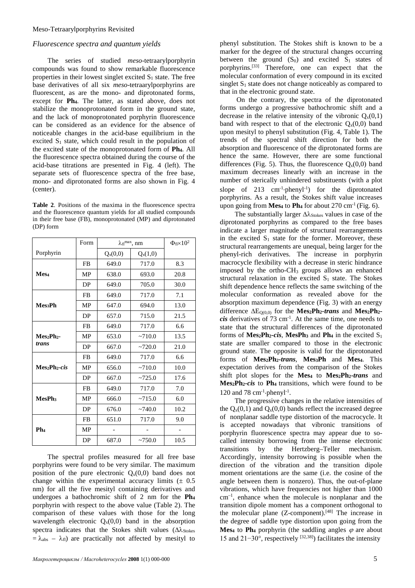### *Fluorescence spectra and quantum yields*

The series of studied *meso*-tetraarylporphyrin compounds was found to show remarkable fluorescence properties in their lowest singlet excited  $S_1$  state. The free base derivatives of all six *meso*-tetraarylporphyrins are fluorescent, as are the mono- and diprotonated forms, except for **Ph4**. The latter, as stated above, does not stabilize the monoprotonated form in the ground state, and the lack of monoprotonated porphyrin fluorescence can be considered as an evidence for the absence of noticeable changes in the acid-base equilibrium in the excited  $S_1$  state, which could result in the population of the excited state of the monoprotonated form of **Ph4**. All the fluorescence spectra obtained during the course of the acid-base titrations are presented in Fig. 4 (left). The separate sets of fluorescence spectra of the free base, mono- and diprotonated forms are also shown in Fig. 4 (center).

**Table 2**. Positions of the maxima in the fluorescence spectra and the fluorescence quantum yields for all studied compounds in their free base (FB), monoprotonated (MP) and diprotonated (DP) form

|                                       | Form      | $\lambda_{\rm fl}$ <sup>max</sup> , nm |              | $\Phi$ fi $\times$ 10 <sup>2</sup> |
|---------------------------------------|-----------|----------------------------------------|--------------|------------------------------------|
| Porphyrin                             |           | $Q_x(0,0)$                             | $Q_{x}(1,0)$ |                                    |
|                                       | FB        | 649.0                                  | 717.0        | 8.3                                |
| Mes <sub>4</sub>                      | MP        | 638.0                                  | 693.0        | 20.8                               |
|                                       | DP        | 649.0                                  | 705.0        | 30.0                               |
|                                       | FB        | 649.0                                  | 717.0        | 7.1                                |
| <b>Mes</b> <sub>2</sub> Ph            | <b>MP</b> | 647.0                                  | 694.0        | 13.0                               |
|                                       | DP        | 657.0                                  | 715.0        | 21.5                               |
|                                       | FB        | 649.0                                  | 717.0        | 6.6                                |
| $Mes2Ph2$ -                           | <b>MP</b> | 653.0                                  | ~10.0        | 13.5                               |
| trans                                 | DP        | 667.0                                  | ~2720.0      | 21.0                               |
|                                       | FB        | 649.0                                  | 717.0        | 6.6                                |
| Mes <sub>2</sub> Ph <sub>2</sub> -cis | MP        | 656.0                                  | ~10.0        | 10.0                               |
|                                       | DP        | 667.0                                  | ~2725.0      | 17.6                               |
|                                       | <b>FB</b> | 649.0                                  | 717.0        | 7.0                                |
| MesPh <sub>3</sub>                    | <b>MP</b> | 666.0                                  | ~2715.0      | 6.0                                |
|                                       | DP        | 676.0                                  | ~140.0       | 10.2                               |
|                                       | <b>FB</b> | 651.0                                  | 717.0        | 9.0                                |
| Ph <sub>4</sub>                       | MP        |                                        |              |                                    |
|                                       | DP        | 687.0                                  | ~100.0       | 10.5                               |

The spectral profiles measured for all free base porphyrins were found to be very similar. The maximum position of the pure electronic  $Q_x(0,0)$  band does not change within the experimental accuracy limits  $(± 0.5)$ nm) for all the five mesityl containing derivatives and undergoes a bathochromic shift of 2 nm for the **Ph4** porphyrin with respect to the above value (Table 2). The comparison of these values with those for the long wavelength electronic  $Q_x(0,0)$  band in the absorption spectra indicates that the Stokes shift values ( $\Delta \lambda_{\text{Stokes}}$ )  $= \lambda_{\text{abs}} - \lambda_{\text{fl}}$ ) are practically not affected by mesityl to

phenyl substitution. The Stokes shift is known to be a marker for the degree of the structural changes occurring between the ground  $(S_0)$  and excited  $S_1$  states of porphyrins.[33] Therefore, one can expect that the molecular conformation of every compound in its excited singlet  $S_1$  state does not change noticeably as compared to that in the electronic ground state.

On the contrary, the spectra of the diprotonated forms undergo a progressive bathochromic shift and a decrease in the relative intensity of the vibronic  $Q_x(0,1)$ band with respect to that of the electronic  $Q_x(0,0)$  band upon mesityl to phenyl substitution (Fig. 4, Table 1). The trends of the spectral shift direction for both the absorption and fluorescence of the diprotonated forms are hence the same. However, there are some functional differences (Fig. 5). Thus, the fluorescence  $Q_x(0,0)$  band maximum decreases linearly with an increase in the number of sterically unhindered substituents (with a plot slope of  $213$  cm<sup>-1</sup> $\cdot$ phenyl<sup>-1</sup>) for the diprotonated porphyrins. As a result, the Stokes shift value increases upon going from **Mes<sub>4</sub>** to **Ph<sub>4</sub>** for about 270 cm<sup>-1</sup> (Fig. 6).

The substantially larger Δλ<sub>Stokes</sub> values in case of the diprotonated porphyrins as compared to the free bases indicate a larger magnitude of structural rearrangements in the excited  $S_1$  state for the former. Moreover, these structural rearrangements are unequal, being larger for the phenyl-rich derivatives. The increase in porphyrin macrocycle flexibility with a decrease in steric hindrance imposed by the ortho-CH3 groups allows an enhanced structural relaxation in the excited  $S_1$  state. The Stokes shift dependence hence reflects the same switching of the molecular conformation as revealed above for the absorption maximum dependence (Fig. 3) with an energy difference ∆EQ(0,0) for the **Mes2Ph2-***trans* and **Mes2Ph2** *cis* derivatives of  $73 \text{ cm}^{-1}$ . At the same time, one needs to state that the structural differences of the diprotonated forms of **,**  $**MesPh<sub>3</sub>**$  **and**  $**Ph<sub>4</sub>**$  **in the excited**  $S<sub>1</sub>$ state are smaller compared to those in the electronic ground state. The opposite is valid for the diprotonated forms of **Mes2Ph2-***trans*, **Mes3Ph** and **Mes4**. This expectation derives from the comparison of the Stokes shift plot slopes for the Mes<sub>4</sub> to Mes<sub>2</sub>Ph<sub>2</sub>-trans and **Mes2Ph2-***cis* to **Ph4** transitions, which were found to be 120 and 78 cm $^{-1}$ ·phenyl<sup>-1</sup>.

The progressive changes in the relative intensities of the  $Q_x(0,1)$  and  $Q_x(0,0)$  bands reflect the increased degree of nonplanar saddle type distortion of the macrocycle. It is accepted nowadays that vibronic transitions of porphyrin fluorescence spectra may appear due to socalled intensity borrowing from the intense electronic transitions by the Hertzberg–Teller mechanism. Accordingly, intensity borrowing is possible when the direction of the vibration and the transition dipole moment orientations are the same (i.e. the cosine of the angle between them is nonzero). Thus, the out-of-plane vibrations, which have frequencies not higher than 1000 cm–1 , enhance when the molecule is nonplanar and the transition dipole moment has a component orthogonal to the molecular plane  $(Z$ -component).<sup>[48]</sup> The increase in the degree of saddle type distortion upon going from the **Mes<sub>4</sub>** to **Ph<sub>4</sub>** porphyrin (the saddling angles  $\varphi$  are about 15 and 21−30°, respectively [32,38] ) facilitates the intensity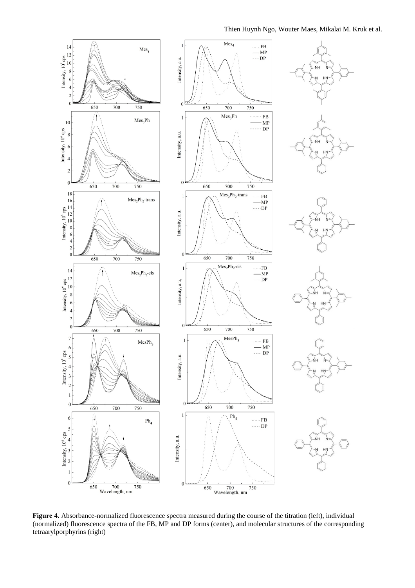#### Thien Huynh Ngo, Wouter Maes, Mikalai M. Kruk et al.



**Figure 4.** Absorbance-normalized fluorescence spectra measured during the course of the titration (left), individual (normalized) fluorescence spectra of the FB, MP and DP forms (center), and molecular structures of the corresponding tetraarylporphyrins (right)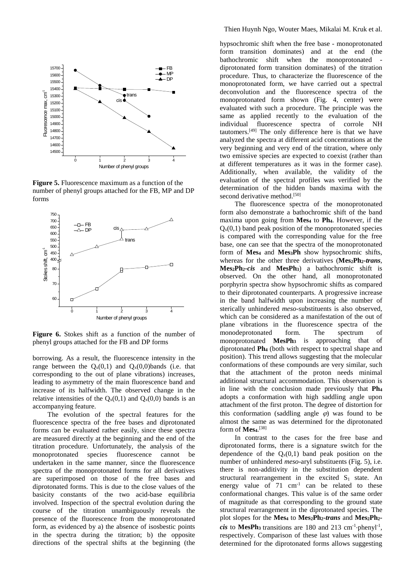

**Figure 5.** Fluorescence maximum as a function of the number of phenyl groups attached for the FB, MP and DP forms



**Figure 6.** Stokes shift as a function of the number of phenyl groups attached for the FB and DP forms

borrowing. As a result, the fluorescence intensity in the range between the  $Q_x(0,1)$  and  $Q_x(0,0)$  bands (i.e. that corresponding to the out of plane vibrations) increases, leading to asymmetry of the main fluorescence band and increase of its halfwidth. The observed change in the relative intensities of the  $Q_x(0,1)$  and  $Q_x(0,0)$  bands is an accompanying feature.

The evolution of the spectral features for the fluorescence spectra of the free bases and diprotonated forms can be evaluated rather easily, since these spectra are measured directly at the beginning and the end of the titration procedure. Unfortunately, the analysis of the monoprotonated species fluorescence cannot be undertaken in the same manner, since the fluorescence spectra of the monoprotonated forms for all derivatives are superimposed on those of the free bases and diprotonated forms. This is due to the close values of the basicity constants of the two acid-base equilibria involved. Inspection of the spectral evolution during the course of the titration unambiguously reveals the presence of the fluorescence from the monoprotonated form, as evidenced by a) the absence of isosbestic points in the spectra during the titration; b) the opposite directions of the spectral shifts at the beginning (the

hypsochromic shift when the free base - monoprotonated form transition dominates) and at the end (the bathochromic shift when the monoprotonated bathochromic shift when diprotonated form transition dominates) of the titration procedure. Thus, to characterize the fluorescence of the monoprotonated form, we have carried out a spectral deconvolution and the fluorescence spectra of the monoprotonated form shown (Fig. 4, center) were evaluated with such a procedure. The principle was the same as applied recently to the evaluation of the individual fluorescence spectra of corrole NH tautomers.[49] The only difference here is that we have analyzed the spectra at different acid concentrations at the very beginning and very end of the titration, where only two emissive species are expected to coexist (rather than at different temperatures as it was in the former case). Additionally, when available, the validity of the evaluation of the spectral profiles was verified by the determination of the hidden bands maxima with the second derivative method.<sup>[50]</sup>

The fluorescence spectra of the monoprotonated form also demonstrate a bathochromic shift of the band maxima upon going from **Mes4** to **Ph4**. However, if the  $Q_x(0,1)$  band peak position of the monoprotonated species is compared with the corresponding value for the free base, one can see that the spectra of the monoprotonated form of Mes<sub>4</sub> and Mes<sub>3</sub>Ph show hypsochromic shifts, whereas for the other three derivatives (**Mes2Ph2-***trans*, **Mes2Ph2-***cis* and **MesPh3**) a bathochromic shift is observed. On the other hand, all monoprotonated porphyrin spectra show hypsochromic shifts as compared to their diprotonated counterparts. A progressive increase in the band halfwidth upon increasing the number of sterically unhindered *meso*-substituents is also observed, which can be considered as a manifestation of the out of plane vibrations in the fluorescence spectra of the monodeprotonated form. The spectrum of monoprotonated **MesPh3** is approaching that of diprotonated **Ph4** (both with respect to spectral shape and position). This trend allows suggesting that the molecular conformations of these compounds are very similar, such that the attachment of the proton needs minimal additional structural accommodation. This observation is in line with the conclusion made previously that **Ph4** adopts a conformation with high saddling angle upon attachment of the first proton. The degree of distortion for this conformation (saddling angle  $\varphi$ ) was found to be almost the same as was determined for the diprotonated form of **Mes4**. [38]

In contrast to the cases for the free base and diprotonated forms, there is a signature switch for the dependence of the  $Q_x(0,1)$  band peak position on the number of unhindered *meso*-aryl substituents (Fig. 5), i.e. there is non-additivity in the substitution dependent structural rearrangement in the excited  $S_1$  state. An energy value of  $71 \text{ cm}^{-1}$  can be related to these conformational changes. This value is of the same order of magnitude as that corresponding to the ground state structural rearrangement in the diprotonated species. The plot slopes for the Mes<sub>4</sub> to Mes<sub>2</sub>Ph<sub>2</sub>-*trans* and Mes<sub>2</sub>Ph<sub>2</sub>*cis* to MesPh<sub>3</sub> transitions are 180 and 213 cm<sup>-1</sup>·phenyl<sup>-1</sup>, respectively. Comparison of these last values with those determined for the diprotonated forms allows suggesting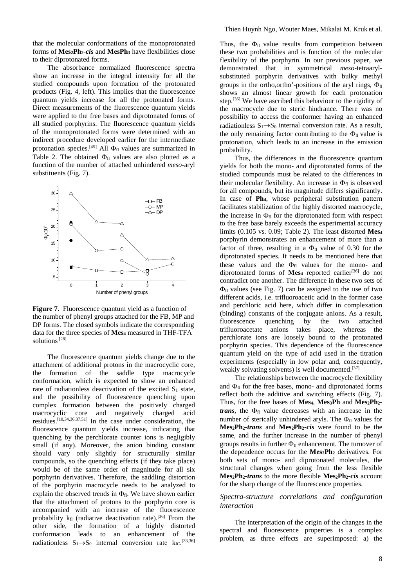that the molecular conformations of the monoprotonated forms of **Mes2Ph2-***cis* and **MesPh3** have flexibilities close to their diprotonated forms.

The absorbance normalized fluorescence spectra show an increase in the integral intensity for all the studied compounds upon formation of the protonated products (Fig. 4, left). This implies that the fluorescence quantum yields increase for all the protonated forms. Direct measurements of the fluorescence quantum yields were applied to the free bases and diprotonated forms of all studied porphyrins. The fluorescence quantum yields of the monoprotonated forms were determined with an indirect procedure developed earlier for the intermediate protonation species.<sup>[45]</sup> All  $\Phi_{\text{fl}}$  values are summarized in Table 2. The obtained  $\Phi_{fl}$  values are also plotted as a function of the number of attached unhindered *meso*-aryl substituents (Fig. 7).



**Figure 7.** Fluorescence quantum yield as a function of the number of phenyl groups attached for the FB, MP and DP forms. The closed symbols indicate the corresponding data for the three species of **Mes4** measured in THF-TFA solutions<sup>[28]</sup>

The fluorescence quantum yields change due to the attachment of additional protons in the macrocyclic core, the formation of the saddle type macrocycle conformation, which is expected to show an enhanced rate of radiationless deactivation of the excited  $S_1$  state, and the possibility of fluorescence quenching upon complex formation between the positively charged macrocyclic core and negatively charged acid residues.[10,34,36,37,51] In the case under consideration, the fluorescence quantum yields increase, indicating that quenching by the perchlorate counter ions is negligibly small (if any). Moreover, the anion binding constant should vary only slightly for structurally similar compounds, so the quenching effects (if they take place) would be of the same order of magnitude for all six porphyrin derivatives. Therefore, the saddling distortion of the porphyrin macrocycle needs to be analyzed to explain the observed trends in  $\Phi_{\text{fl}}$ . We have shown earlier that the attachment of protons to the porphyrin core is accompanied with an increase of the fluorescence probability  $k_{fl}$  (radiative deactivation rate).<sup>[36]</sup> From the other side, the formation of a highly distorted conformation leads to an enhancement of the radiationless  $S_1 \rightarrow S_0$  internal conversion rate  $k_{\text{IC}}$ . [33,36]

Thus, the  $\Phi_{\text{fl}}$  value results from competition between these two probabilities and is function of the molecular flexibility of the porphyrin. In our previous paper, we demonstrated that in symmetrical *meso*-tetraarylsubstituted porphyrin derivatives with bulky methyl groups in the ortho,ortho'-positions of the aryl rings,  $\Phi_{\text{fl}}$ shows an almost linear growth for each protonation step.<sup>[36]</sup> We have ascribed this behaviour to the rigidity of the macrocycle due to steric hindrance. There was no possibility to access the conformer having an enhanced radiationless  $S_1 \rightarrow S_0$  internal conversion rate. As a result, the only remaining factor contributing to the  $\Phi_{fl}$  value is protonation, which leads to an increase in the emission probability.

Thus, the differences in the fluorescence quantum yields for both the mono- and diprotonated forms of the studied compounds must be related to the differences in their molecular flexibility. An increase in  $\Phi_{fl}$  is observed for all compounds, but its magnitude differs significantly. In case of **Ph4**, whose peripheral substitution pattern facilitates stabilization of the highly distorted macrocycle, the increase in  $\Phi_{fl}$  for the diprotonated form with respect to the free base barely exceeds the experimental accuracy limits (0.105 vs. 0.09; Table 2). The least distorted **Mes4** porphyrin demonstrates an enhancement of more than a factor of three, resulting in a  $\Phi_{\text{fl}}$  value of 0.30 for the diprotonated species. It needs to be mentioned here that these values and the  $\Phi_{\text{fl}}$  values for the mono- and diprotonated forms of **Mes**4 reported earlier<sup>[36]</sup> do not contradict one another. The difference in these two sets of  $\Phi_{\text{fl}}$  values (see Fig. 7) can be assigned to the use of two different acids, i.e. trifluoroacetic acid in the former case and perchloric acid here, which differ in complexation (binding) constants of the conjugate anions. As a result, fluorescence quenching by the two attached trifluoroacetate anions takes place, whereas the perchlorate ions are loosely bound to the protonated porphyrin species. This dependence of the fluorescence quantum yield on the type of acid used in the titration experiments (especially in low polar and, consequently, weakly solvating solvents) is well documented.<sup>[37]</sup>

The relationships between the macrocycle flexibility and  $\Phi_{fl}$  for the free bases, mono- and diprotonated forms reflect both the additive and switching effects (Fig. 7). Thus, for the free bases of Mes<sub>4</sub>, Mes<sub>3</sub>Ph and Mes<sub>2</sub>Ph<sub>2</sub>*trans*, the  $\Phi_{\text{fl}}$  value decreases with an increase in the number of sterically unhindered aryls. The  $\Phi_{fl}$  values for **Mes2Ph2-***trans* and **Mes2Ph2-***cis* were found to be the same, and the further increase in the number of phenyl groups results in further  $\Phi_{fl}$  enhancement. The turnover of the dependence occurs for the **Mes2Ph2** derivatives. For both sets of mono- and diprotonated molecules, the structural changes when going from the less flexible **Mes2Ph2-***trans* to the more flexible **Mes2Ph2-***cis* account for the sharp change of the fluorescence properties.

## *Spectra-structure correlations and configuration interaction*

The interpretation of the origin of the changes in the spectral and fluorescence properties is a complex problem, as three effects are superimposed: a) the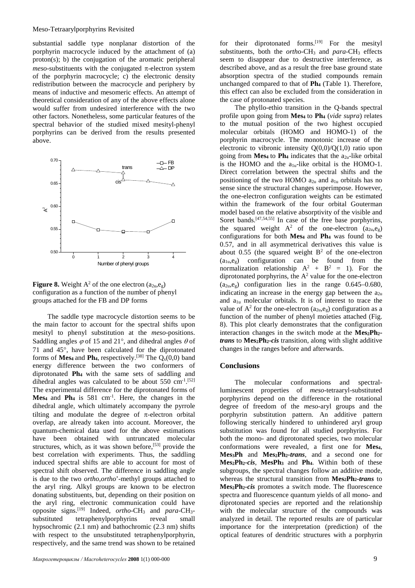substantial saddle type nonplanar distortion of the porphyrin macrocycle induced by the attachment of (a) proton(s); b) the conjugation of the aromatic peripheral *meso*-substituents with the conjugated  $\pi$ -electron system of the porphyrin macrocycle; c) the electronic density redistribution between the macrocycle and periphery by means of inductive and mesomeric effects. An attempt of theoretical consideration of any of the above effects alone would suffer from undesired interference with the two other factors. Nonetheless, some particular features of the spectral behavior of the studied mixed mesityl-phenyl porphyrins can be derived from the results presented above.



**Figure 8.** Weight  $A^2$  of the one electron  $(a_{2u},e_{\varphi})$ configuration as a function of the number of phenyl groups attached for the FB and DP forms

The saddle type macrocycle distortion seems to be the main factor to account for the spectral shifts upon mesityl to phenyl substitution at the *meso*-positions. Saddling angles  $\varphi$  of 15 and 21°, and dihedral angles  $\theta$  of 71 and 45°, have been calculated for the diprotonated forms of **Mes<sub>4</sub>** and **Ph<sub>4</sub>**, respectively.<sup>[38]</sup> The  $Q_x(0,0)$  band energy difference between the two conformers of diprotonated **Ph4** with the same sets of saddling and dihedral angles was calculated to be about  $550 \text{ cm}^{-1}$ .<sup>[52]</sup> The experimental difference for the diprotonated forms of **Mes4** and **Ph4** is 581 cm-1 . Here, the changes in the dihedral angle, which ultimately accompany the pyrrole tilting and modulate the degree of  $\pi$ -electron orbital overlap, are already taken into account. Moreover, the quantum-chemical data used for the above estimations have been obtained with untruncated molecular structures, which, as it was shown before,[53] provide the best correlation with experiments. Thus, the saddling induced spectral shifts are able to account for most of spectral shift observed. The difference in saddling angle is due to the two *ortho*,*ortho*'-methyl groups attached to the aryl ring. Alkyl groups are known to be electron donating substituents, but, depending on their position on the aryl ring, electronic communication could have opposite signs.[19] Indeed, *ortho*-CH3 and *para*-CH3 substituted tetraphenylporphyrins reveal small hypsochromic (2.1 nm) and bathochromic (2.3 nm) shifts with respect to the unsubstituted tetraphenylporphyrin, respectively, and the same trend was shown to be retained

for their diprotonated forms.<sup>[19]</sup> For the mesityl substituents, both the *ortho*-CH<sub>3</sub> and *para*-CH<sub>3</sub> effects seem to disappear due to destructive interference, as described above, and as a result the free base ground state absorption spectra of the studied compounds remain unchanged compared to that of **Ph4** (Table 1). Therefore, this effect can also be excluded from the consideration in the case of protonated species.

The phyllo-ethio transition in the Q-bands spectral profile upon going from **Mes4** to **Ph4** (*vide supra*) relates to the mutual position of the two highest occupied molecular orbitals (HOMO and HOMO-1) of the porphyrin macrocycle. The monotonic increase of the electronic to vibronic intensity  $Q(0,0)/Q(1,0)$  ratio upon going from **Mes<sub>4</sub>** to **Ph<sub>4</sub>** indicates that the  $a_{2u}$ -like orbital is the HOMO and the  $a_{1u}$ -like orbital is the HOMO-1. Direct correlation between the spectral shifts and the positioning of the two HOMO  $a_{2u}$  and  $a_{1u}$  orbitals has no sense since the structural changes superimpose. However, the one-electron configuration weights can be estimated within the framework of the four orbital Gouterman model based on the relative absorptivity of the visible and Soret bands.<sup>[47,54,55]</sup> In case of the free base porphyrins, the squared weight  $A^2$  of the one-electron  $(a_{2u},e_g)$ configurations for both **Mes4** and **Ph4** was found to be 0.57, and in all asymmetrical derivatives this value is about 0.55 (the squared weight  $B<sup>2</sup>$  of the one-electron  $(a_{1u},e_g)$  configuration can be found from the normalization relationship  $A^2 + B^2 = 1$ ). For the diprotonated porphyrins, the  $A<sup>2</sup>$  value for the one-electron  $(a_{2u},e_g)$  configuration lies in the range 0.645–0.680, indicating an increase in the energy gap between the  $a_{2u}$ and a1u molecular orbitals. It is of interest to trace the value of  $A^2$  for the one-electron  $(a_{2u},e_g)$  configuration as a function of the number of phenyl moieties attached (Fig. 8). This plot clearly demonstrates that the configuration interaction changes in the switch mode at the Mes<sub>2</sub>Ph<sub>2</sub>*trans* to **Mes2Ph2-***cis* transition, along with slight additive changes in the ranges before and afterwards.

### **Conclusions**

The molecular conformations and spectralluminescent properties of *meso*-tetraaryl-substituted porphyrins depend on the difference in the rotational degree of freedom of the *meso*-aryl groups and the porphyrin substitution pattern. An additive pattern following sterically hindered to unhindered aryl group substitution was found for all studied porphyrins. For both the mono- and diprotonated species, two molecular conformations were revealed, a first one for **Mes4**, **Mes3Ph** and **Mes2Ph2-***trans*, and a second one for **Mes2Ph2-***cis*, **MesPh3** and **Ph4**. Within both of these subgroups, the spectral changes follow an additive mode, whereas the structural transition from Mes<sub>2</sub>Ph<sub>2</sub>-*trans* to **Mes2Ph2-***cis* promotes a switch mode. The fluorescence spectra and fluorescence quantum yields of all mono- and diprotonated species are reported and the relationship with the molecular structure of the compounds was analyzed in detail. The reported results are of particular importance for the interpretation (prediction) of the optical features of dendritic structures with a porphyrin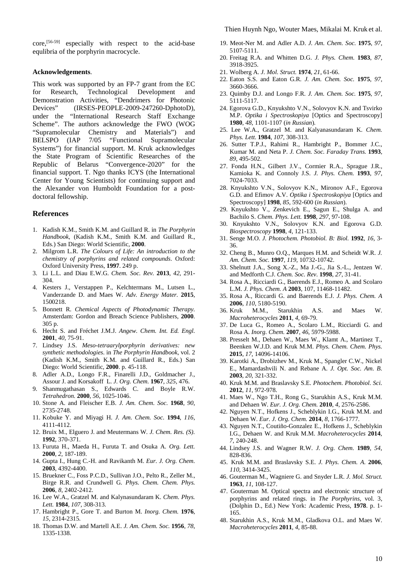core,[56-59] especially with respect to the acid-base equlibria of the porphyrin macrocycle.

#### **Acknowledgements**.

This work was supported by an FP-7 grant from the EC for Research, Technological Development and Demonstration Activities, "Dendrimers for Photonic Devices" (IRSES-PEOPLE-2009-247260-DphotoD), under the "International Research Staff Exchange Scheme". The authors acknowledge the FWO (WOG "Supramolecular Chemistry and Materials") and BELSPO (IAP 7/05 "Functional Supramolecular Systems") for financial support. M. Kruk acknowledges the State Program of Scientific Researches of the Republic of Belarus "Convergence-2020" for the financial support. T. Ngo thanks ICYS (the International Center for Young Scientists) for continuing support and the Alexander von Humboldt Foundation for a postdoctoral fellowship.

### **References**

- 1. Kadish K.M., Smith K.M. and Guillard R. in *The Porphyrin Handbook*, (Kadish K.M., Smith K.M. and Guillard R., Eds.) San Diego: World Scientific, **2000**.
- 2. Milgrom L.R. *The Colours of Life: An introduction to the chemistry of porphyrins and related compounds*. Oxford: Oxford University Press, **1997**. 249 p.
- 3. Li L.L. and Diau E.W.G. *Chem. Soc. Rev.* **2013**, *42*, 291- 304.
- 4. Kesters J., Verstappen P., Kelchtermans M., Lutsen L., Vanderzande D. and Maes W. *Adv. Energy Mater.* **2015**, 1500218.
- 5. Bonnett R. *Chemical Aspects of Photodynamic Therapy.* Amsterdam: Gordon and Breach Science Publishers, **2000**. 305 p.
- 6. Hecht S. and Fréchet J.M.J. *Angew. Chem. Int. Ed. Engl.* **2001**, *40*, 75-91.
- 7. Lindsey J.S. *Meso-tetraarylporphyrin derivatives: new synthetic methodologies*. in *The Porphyrin Handbook*, vol. 2 (Kadish K.M., Smith K.M. and Guillard R., Eds.) San Diego: World Scientific, **2000**. p. 45-118.
- 8. Adler A.D., Longo F.R., Finarelli J.D., Goldmacher J., Assour J. and Korsakoff L. *J. Org. Chem.* **1967**, *325*, 476.
- 9. Shanmugathasan S., Edwards C. and Boyle R.W. *Tetrahedron.* **2000**, *56*, 1025-1046.
- 10. Stone A. and Fleischer E.B. *J. Am. Chem. Soc.* **1968**, *90*, 2735-2748.
- 11. Kobuke Y. and Miyagi H. *J. Am. Chem. Soc.* **1994**, *116*, 4111-4112.
- 12. Bruix M., Elguero J. and Meutermans W. *J. Chem. Res. (S).* **1992**, 370-371.
- 13. Furuta H., Maeda H., Furuta T. and Osuka A. *Org. Lett.* **2000**, *2,* 187-189.
- 14. Gupta I., Hung C.-H. and Ravikanth M. *Eur. J. Org. Chem.* **2003**, 4392-4400.
- 15. Bruekner C., Foss P.C.D., Sullivan J.O., Pelto R., Zeller M., Birge R.R. and Crundwell G. *Phys. Chem. Chem. Phys.* **2006**, *8*, 2402-2412.
- 16. Lee W.A., Gratzel M. and Kalynasundaram K. *Chem. Phys. Lett.* **1984**, *107*, 308-313.
- 17. Hambright P., Gore T. and Burton M. *Inorg. Chem.* **1976**, *15*, 2314-2315.
- 18. Thomas D.W. and Martell A.E. *J. Am. Chem. Soc.* **1956**, *78*, 1335-1338.
- 19. Meot-Ner M. and Adler A.D. *J. Am. Chem. Soc.* **1975**, *97*, 5107-5111.
- 20. Freitag R.A. and Whitten D.G. *J. Phys. Chem.* **1983**, *87*, 3918-3925.
- 21. Wolberg A. *J. Mol. Struct.* **1974**, *21*, 61-66.
- 22. Eaton S.S. and Eaton G.R. *J. Am. Chem. Soc.* **1975**, *97*, 3660-3666.
- 23. Quimby D.J. and Longo F.R. *J. Am. Chem. Soc.* **1975**, *97*, 5111-5117.
- 24. Egorova G.D., Knyukshto V.N., Solovyov K.N. and Tsvirko M.P. *Optika i Spectroskopiya* [Optics and Spectroscopy] **1980**, *48*, 1101-1107 (*in Russian*).
- 25. Lee W.A., Gratzel M. and Kalyanasundaram K. *Chem. Phys. Lett.* **1984**, *107*, 308-313.
- 26. Sutter T.P.J., Rahimi R., Hambright P., Bommer J.C., Kumar M. and Neta P. *J. Chem. Soc. Faraday Trans.* **1993**, *89*, 495-502.
- 27. Fonda H.N., Gilbert J.V., Cormier R.A., Sprague J.R., Kamioka K. and Connoly J.S. *J. Phys. Chem.* **1993**, *97*, 7024-7033.
- 28. Knyukshto V.N., Solovyov K.N., Mironov A.F., Egorova G.D. and Efimov A.V. *Optika i Spectroskopiya* [Optics and Spectroscopy] **1998**, *85*, 592-600 (*in Russian*).
- 29. Knyukshto V., Zenkevich E., Sagun E., Shulga A. and Bachilo S. *Chem. Phys. Lett.* **1998**, *297*, 97-108.
- 30. Knyukshto V.N., Solovyov K.N. and Egorova G.D. *Biospectroscopy* **1998**, *4*, 121-133.
- 31. Senge M.O. *J. Photochem. Photobiol. B: Biol.* **1992**, *16,* 3- 36.
- 32. Cheng B., Munro O.Q., Marques H.M. and Scheidt W.R. *J. Am. Chem. Soc.* **1997**, *119*, 10732-10742.
- 33. Shelnutt J.A., Song X.-Z., Ma J.-G., Jia S.-L., Jentzen W. and Medforth C.J. *Chem. Soc. Rev*. **1998**, *27*, 31-41.
- 34. Rosa A., Ricciardi G., Baerends E.J., Romeo A. and Scolaro L.M. *J. Phys. Chem. A* **2003**, 107, 11468-11482.
- 35. Rosa A., Riccardi G. and Baerends E.J. *J. Phys. Chem. A* **2006**, *110*, 5180-5190.<br>36. Kruk M.M., Star
- M.M., Starukhin A.S. and Maes W. *Macroheterocycles* **2011**, *4*, 69-79.
- 37. De Luca G., Romeo A., Scolaro L.M., Ricciardi G. and Rosa A. *Inorg. Chem.* **2007**, *46*, 5979-5988.
- 38. Presselt M., Dehaen W., Maes W., Klamt A., Martinez T., Beenken W.J.D. and Kruk M.M. *Phys. Chem. Chem. Phys.* **2015**, *17*, 14096-14106.
- 39. Karotki A., Drobizhev M., Kruk M., Spangler C.W., Nickel E., Mamardashvili N. and Rebane A. *J. Opt. Soc. Am. B.* **2003**, *20*, 321-332.
- 40. Kruk M.M. and Braslavsky S.E. *Photochem. Photobiol. Sci.* **2012**, *11*, 972-978.
- 41. Maes W., Ngo T.H., Rong G., Starukhin A.S., Kruk M.M. and Dehaen W. *Eur. J. Org. Chem.* **2010**, *4*, 2576-2586.
- 42. Nguyen N.T., Hofkens J., Scheblykin I.G., Kruk M.M. and Dehaen W. *Eur. J. Org. Chem.* **2014**, *8*, 1766-1777.
- 43. Nguyen N.T., Coutiño-Gonzalez E., Hofkens J., Scheblykin I.G., Dehaen W. and Kruk M.M. *Macroheterocycles* **2014**, *7*, 240-248.
- 44. Lindsey J.S. and Wagner R.W. *J. Org. Chem.* **1989**, *54*, 828-836.
- 45. Kruk M.M. and Braslavsky S.E. *J. Phys. Chem. A.* **2006**, *110*, 3414-3425.
- 46. Gouterman M., Wagniere G. and Snyder L.R. *J. Mol. Struct.* **1963**, *11*, 108-127.
- 47. Gouterman M. Optical spectra and electronic structure of porphyrins and related rings. in *The Porphyrins*, vol. 3, (Dolphin D., Ed.) New York: Academic Press, **1978**. p. 1- 165.
- 48. Starukhin A.S., Kruk M.M., Gladkova O.L. and Maes W. *Macroheterocycles* **2011**, *4*, 85-88.